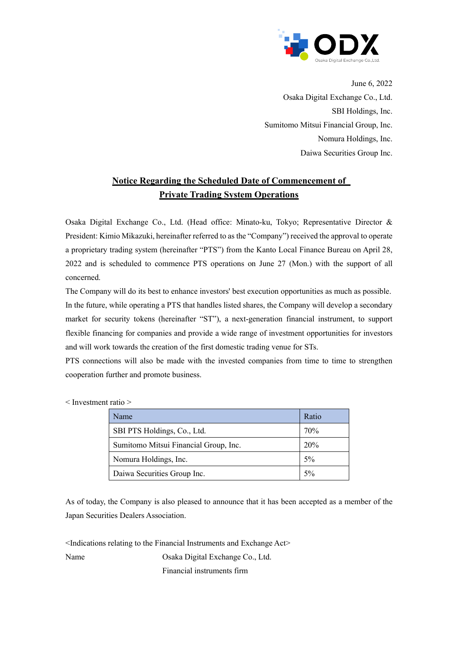

June 6, 2022 Osaka Digital Exchange Co., Ltd. SBI Holdings, Inc. Sumitomo Mitsui Financial Group, Inc. Nomura Holdings, Inc. Daiwa Securities Group Inc.

## **Notice Regarding the Scheduled Date of Commencement of Private Trading System Operations**

Osaka Digital Exchange Co., Ltd. (Head office: Minato-ku, Tokyo; Representative Director & President: Kimio Mikazuki, hereinafter referred to as the "Company") received the approval to operate a proprietary trading system (hereinafter "PTS") from the Kanto Local Finance Bureau on April 28, 2022 and is scheduled to commence PTS operations on June 27 (Mon.) with the support of all concerned.

The Company will do its best to enhance investors' best execution opportunities as much as possible. In the future, while operating a PTS that handles listed shares, the Company will develop a secondary market for security tokens (hereinafter "ST"), a next-generation financial instrument, to support flexible financing for companies and provide a wide range of investment opportunities for investors and will work towards the creation of the first domestic trading venue for STs.

PTS connections will also be made with the invested companies from time to time to strengthen cooperation further and promote business.

| Name                                  | Ratio |
|---------------------------------------|-------|
| SBI PTS Holdings, Co., Ltd.           | 70%   |
| Sumitomo Mitsui Financial Group, Inc. | 20%   |
| Nomura Holdings, Inc.                 | $5\%$ |
| Daiwa Securities Group Inc.           | 5%    |

< Investment ratio >

As of today, the Company is also pleased to announce that it has been accepted as a member of the Japan Securities Dealers Association.

 $\leq$ Indications relating to the Financial Instruments and Exchange Act $\geq$ Name Osaka Digital Exchange Co., Ltd. Financial instruments firm